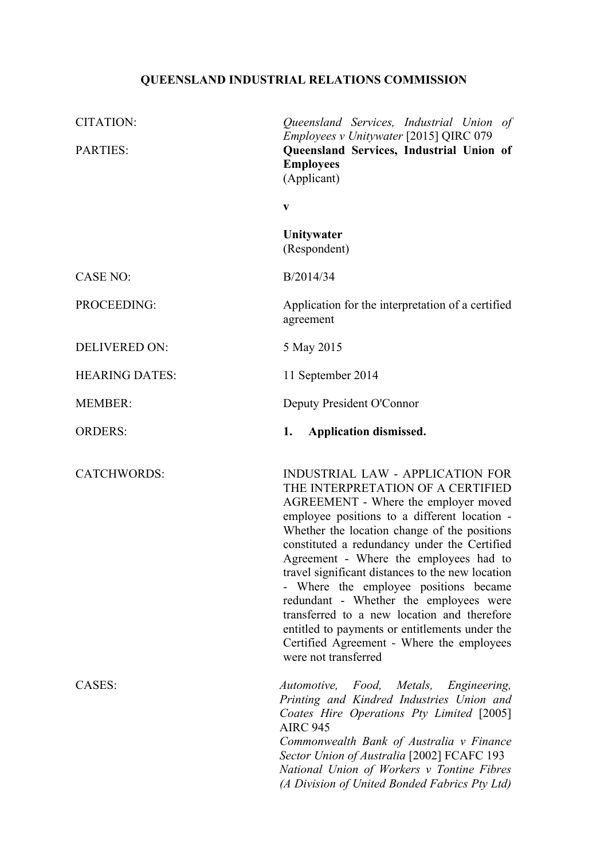# **QUEENSLAND INDUSTRIAL RELATIONS COMMISSION**

| <b>CITATION:</b>      | Queensland Services, Industrial Union of<br>Employees v Unitywater [2015] QIRC 079                                                                                                                                                                                                                                                                                                                                                                                                                                                                                                                                          |
|-----------------------|-----------------------------------------------------------------------------------------------------------------------------------------------------------------------------------------------------------------------------------------------------------------------------------------------------------------------------------------------------------------------------------------------------------------------------------------------------------------------------------------------------------------------------------------------------------------------------------------------------------------------------|
| <b>PARTIES:</b>       | Queensland Services, Industrial Union of<br><b>Employees</b><br>(Applicant)                                                                                                                                                                                                                                                                                                                                                                                                                                                                                                                                                 |
|                       | $\mathbf{V}$                                                                                                                                                                                                                                                                                                                                                                                                                                                                                                                                                                                                                |
|                       | Unitywater<br>(Respondent)                                                                                                                                                                                                                                                                                                                                                                                                                                                                                                                                                                                                  |
| <b>CASE NO:</b>       | B/2014/34                                                                                                                                                                                                                                                                                                                                                                                                                                                                                                                                                                                                                   |
| PROCEEDING:           | Application for the interpretation of a certified<br>agreement                                                                                                                                                                                                                                                                                                                                                                                                                                                                                                                                                              |
| <b>DELIVERED ON:</b>  | 5 May 2015                                                                                                                                                                                                                                                                                                                                                                                                                                                                                                                                                                                                                  |
| <b>HEARING DATES:</b> | 11 September 2014                                                                                                                                                                                                                                                                                                                                                                                                                                                                                                                                                                                                           |
| <b>MEMBER:</b>        | Deputy President O'Connor                                                                                                                                                                                                                                                                                                                                                                                                                                                                                                                                                                                                   |
| <b>ORDERS:</b>        | <b>Application dismissed.</b><br>1.                                                                                                                                                                                                                                                                                                                                                                                                                                                                                                                                                                                         |
| <b>CATCHWORDS:</b>    | <b>INDUSTRIAL LAW - APPLICATION FOR</b><br>THE INTERPRETATION OF A CERTIFIED<br>AGREEMENT - Where the employer moved<br>employee positions to a different location -<br>Whether the location change of the positions<br>constituted a redundancy under the Certified<br>Agreement - Where the employees had to<br>travel significant distances to the new location<br>- Where the employee positions became<br>redundant - Whether the employees were<br>transferred to a new location and therefore<br>entitled to payments or entitlements under the<br>Certified Agreement - Where the employees<br>were not transferred |
| CASES:                | <i>Automotive,</i><br>Food,<br>Metals,<br>Engineering,<br>Printing and Kindred Industries Union and<br>Coates Hire Operations Pty Limited [2005]<br><b>AIRC 945</b><br>Commonwealth Bank of Australia v Finance<br>Sector Union of Australia [2002] FCAFC 193<br>National Union of Workers v Tontine Fibres<br>(A Division of United Bonded Fabrics Pty Ltd)                                                                                                                                                                                                                                                                |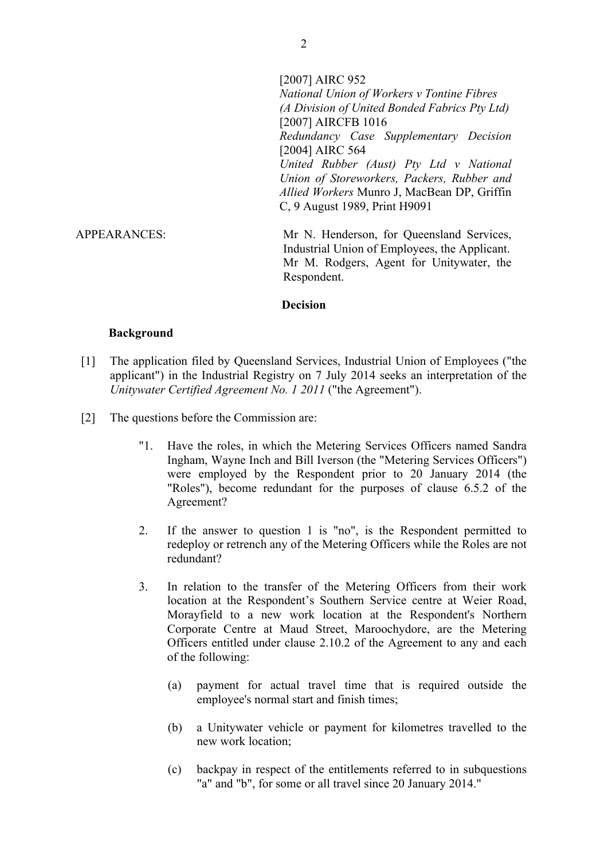[2007] AIRC 952 *National Union of Workers v Tontine Fibres (A Division of United Bonded Fabrics Pty Ltd)* [2007] AIRCFB 1016 *Redundancy Case Supplementary Decision* [2004] AIRC 564 *United Rubber (Aust) Pty Ltd v National Union of Storeworkers, Packers, Rubber and Allied Workers* Munro J, MacBean DP, Griffin C, 9 August 1989, Print H9091 APPEARANCES: Mr N. Henderson, for Queensland Services, Industrial Union of Employees, the Applicant. Mr M. Rodgers, Agent for Unitywater, the Respondent.

#### **Decision**

#### **Background**

- [1] The application filed by Queensland Services, Industrial Union of Employees ("the applicant") in the Industrial Registry on 7 July 2014 seeks an interpretation of the *Unitywater Certified Agreement No. 1 2011* ("the Agreement").
- [2] The questions before the Commission are:
	- "1. Have the roles, in which the Metering Services Officers named Sandra Ingham, Wayne Inch and Bill Iverson (the "Metering Services Officers") were employed by the Respondent prior to 20 January 2014 (the "Roles"), become redundant for the purposes of clause 6.5.2 of the Agreement?
	- 2. If the answer to question 1 is "no", is the Respondent permitted to redeploy or retrench any of the Metering Officers while the Roles are not redundant?
	- 3. In relation to the transfer of the Metering Officers from their work location at the Respondent's Southern Service centre at Weier Road, Morayfield to a new work location at the Respondent's Northern Corporate Centre at Maud Street, Maroochydore, are the Metering Officers entitled under clause 2.10.2 of the Agreement to any and each of the following:
		- (a) payment for actual travel time that is required outside the employee's normal start and finish times;
		- (b) a Unitywater vehicle or payment for kilometres travelled to the new work location;
		- (c) backpay in respect of the entitlements referred to in subquestions "a" and "b", for some or all travel since 20 January 2014."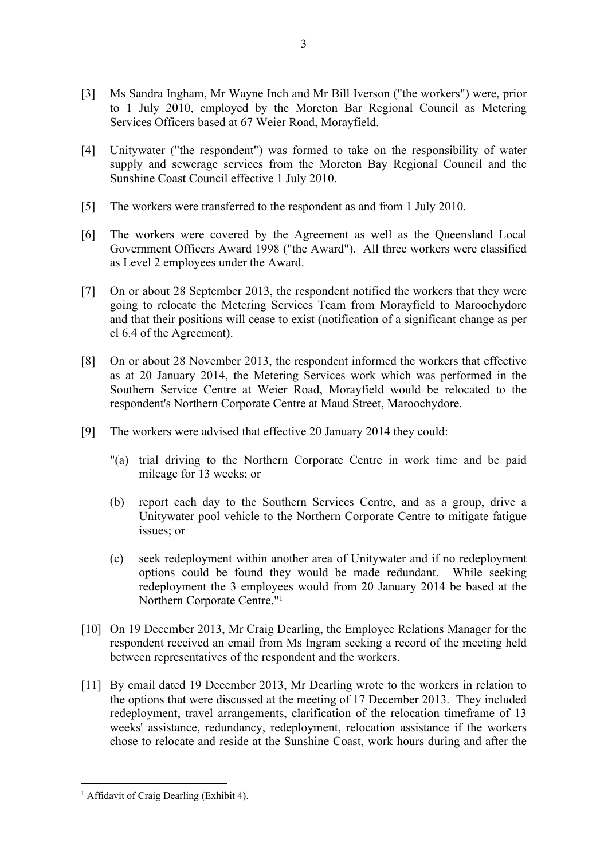- [3] Ms Sandra Ingham, Mr Wayne Inch and Mr Bill Iverson ("the workers") were, prior to 1 July 2010, employed by the Moreton Bar Regional Council as Metering Services Officers based at 67 Weier Road, Morayfield.
- [4] Unitywater ("the respondent") was formed to take on the responsibility of water supply and sewerage services from the Moreton Bay Regional Council and the Sunshine Coast Council effective 1 July 2010.
- [5] The workers were transferred to the respondent as and from 1 July 2010.
- [6] The workers were covered by the Agreement as well as the Queensland Local Government Officers Award 1998 ("the Award"). All three workers were classified as Level 2 employees under the Award.
- [7] On or about 28 September 2013, the respondent notified the workers that they were going to relocate the Metering Services Team from Morayfield to Maroochydore and that their positions will cease to exist (notification of a significant change as per cl 6.4 of the Agreement).
- [8] On or about 28 November 2013, the respondent informed the workers that effective as at 20 January 2014, the Metering Services work which was performed in the Southern Service Centre at Weier Road, Morayfield would be relocated to the respondent's Northern Corporate Centre at Maud Street, Maroochydore.
- [9] The workers were advised that effective 20 January 2014 they could:
	- "(a) trial driving to the Northern Corporate Centre in work time and be paid mileage for 13 weeks; or
	- (b) report each day to the Southern Services Centre, and as a group, drive a Unitywater pool vehicle to the Northern Corporate Centre to mitigate fatigue issues; or
	- (c) seek redeployment within another area of Unitywater and if no redeployment options could be found they would be made redundant. While seeking redeployment the 3 employees would from 20 January 2014 be based at the Northern Corporate Centre."<sup>1</sup>
- [10] On 19 December 2013, Mr Craig Dearling, the Employee Relations Manager for the respondent received an email from Ms Ingram seeking a record of the meeting held between representatives of the respondent and the workers.
- [11] By email dated 19 December 2013, Mr Dearling wrote to the workers in relation to the options that were discussed at the meeting of 17 December 2013. They included redeployment, travel arrangements, clarification of the relocation timeframe of 13 weeks' assistance, redundancy, redeployment, relocation assistance if the workers chose to relocate and reside at the Sunshine Coast, work hours during and after the

<sup>&</sup>lt;sup>1</sup> Affidavit of Craig Dearling (Exhibit 4).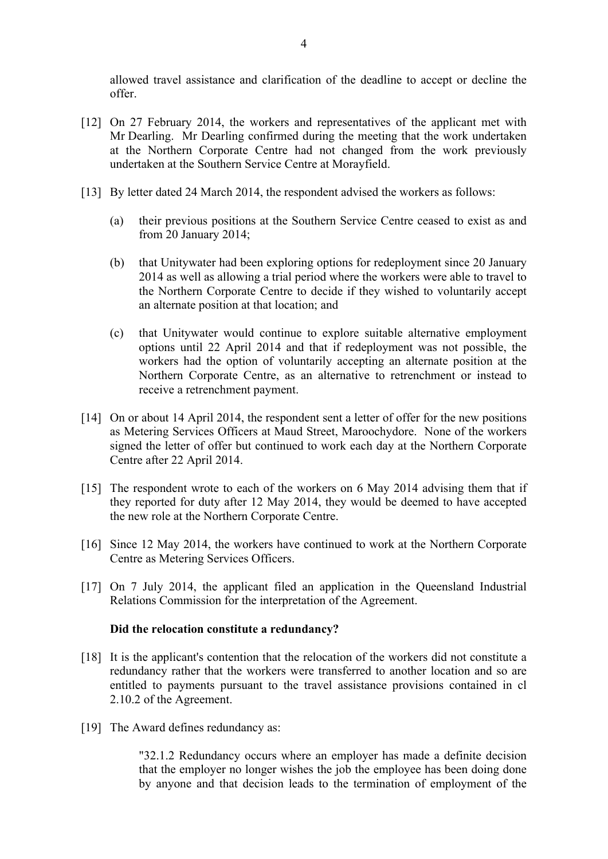allowed travel assistance and clarification of the deadline to accept or decline the offer.

- [12] On 27 February 2014, the workers and representatives of the applicant met with Mr Dearling. Mr Dearling confirmed during the meeting that the work undertaken at the Northern Corporate Centre had not changed from the work previously undertaken at the Southern Service Centre at Morayfield.
- [13] By letter dated 24 March 2014, the respondent advised the workers as follows:
	- (a) their previous positions at the Southern Service Centre ceased to exist as and from 20 January 2014;
	- (b) that Unitywater had been exploring options for redeployment since 20 January 2014 as well as allowing a trial period where the workers were able to travel to the Northern Corporate Centre to decide if they wished to voluntarily accept an alternate position at that location; and
	- (c) that Unitywater would continue to explore suitable alternative employment options until 22 April 2014 and that if redeployment was not possible, the workers had the option of voluntarily accepting an alternate position at the Northern Corporate Centre, as an alternative to retrenchment or instead to receive a retrenchment payment.
- [14] On or about 14 April 2014, the respondent sent a letter of offer for the new positions as Metering Services Officers at Maud Street, Maroochydore. None of the workers signed the letter of offer but continued to work each day at the Northern Corporate Centre after 22 April 2014.
- [15] The respondent wrote to each of the workers on 6 May 2014 advising them that if they reported for duty after 12 May 2014, they would be deemed to have accepted the new role at the Northern Corporate Centre.
- [16] Since 12 May 2014, the workers have continued to work at the Northern Corporate Centre as Metering Services Officers.
- [17] On 7 July 2014, the applicant filed an application in the Queensland Industrial Relations Commission for the interpretation of the Agreement.

## **Did the relocation constitute a redundancy?**

- [18] It is the applicant's contention that the relocation of the workers did not constitute a redundancy rather that the workers were transferred to another location and so are entitled to payments pursuant to the travel assistance provisions contained in cl 2.10.2 of the Agreement.
- [19] The Award defines redundancy as:

"32.1.2 Redundancy occurs where an employer has made a definite decision that the employer no longer wishes the job the employee has been doing done by anyone and that decision leads to the termination of employment of the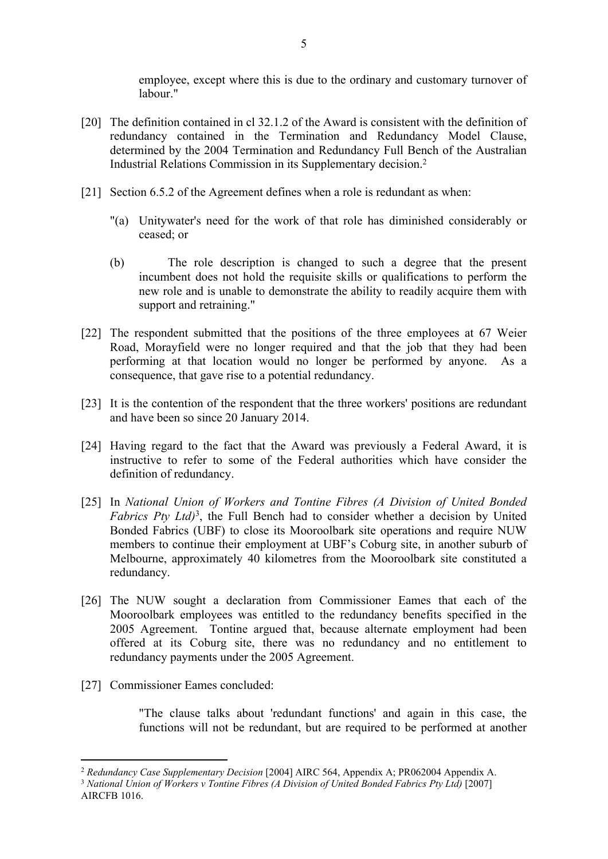employee, except where this is due to the ordinary and customary turnover of labour."

- [20] The definition contained in cl 32.1.2 of the Award is consistent with the definition of redundancy contained in the Termination and Redundancy Model Clause, determined by the 2004 Termination and Redundancy Full Bench of the Australian Industrial Relations Commission in its Supplementary decision.<sup>2</sup>
- [21] Section 6.5.2 of the Agreement defines when a role is redundant as when:
	- "(a) Unitywater's need for the work of that role has diminished considerably or ceased; or
	- (b) The role description is changed to such a degree that the present incumbent does not hold the requisite skills or qualifications to perform the new role and is unable to demonstrate the ability to readily acquire them with support and retraining."
- [22] The respondent submitted that the positions of the three employees at 67 Weier Road, Morayfield were no longer required and that the job that they had been performing at that location would no longer be performed by anyone. As a consequence, that gave rise to a potential redundancy.
- [23] It is the contention of the respondent that the three workers' positions are redundant and have been so since 20 January 2014.
- [24] Having regard to the fact that the Award was previously a Federal Award, it is instructive to refer to some of the Federal authorities which have consider the definition of redundancy.
- [25] In *National Union of Workers and Tontine Fibres (A Division of United Bonded*  Fabrics Pty Ltd)<sup>3</sup>, the Full Bench had to consider whether a decision by United Bonded Fabrics (UBF) to close its Mooroolbark site operations and require NUW members to continue their employment at UBF's Coburg site, in another suburb of Melbourne, approximately 40 kilometres from the Mooroolbark site constituted a redundancy.
- [26] The NUW sought a declaration from Commissioner Eames that each of the Mooroolbark employees was entitled to the redundancy benefits specified in the 2005 Agreement. Tontine argued that, because alternate employment had been offered at its Coburg site, there was no redundancy and no entitlement to redundancy payments under the 2005 Agreement.
- [27] Commissioner Eames concluded:

"The clause talks about 'redundant functions' and again in this case, the functions will not be redundant, but are required to be performed at another

<sup>2</sup> *Redundancy Case Supplementary Decision* [2004] AIRC 564, Appendix A; PR062004 Appendix A.

<sup>3</sup> *National Union of Workers v Tontine Fibres (A Division of United Bonded Fabrics Pty Ltd)* [2007] AIRCFB 1016.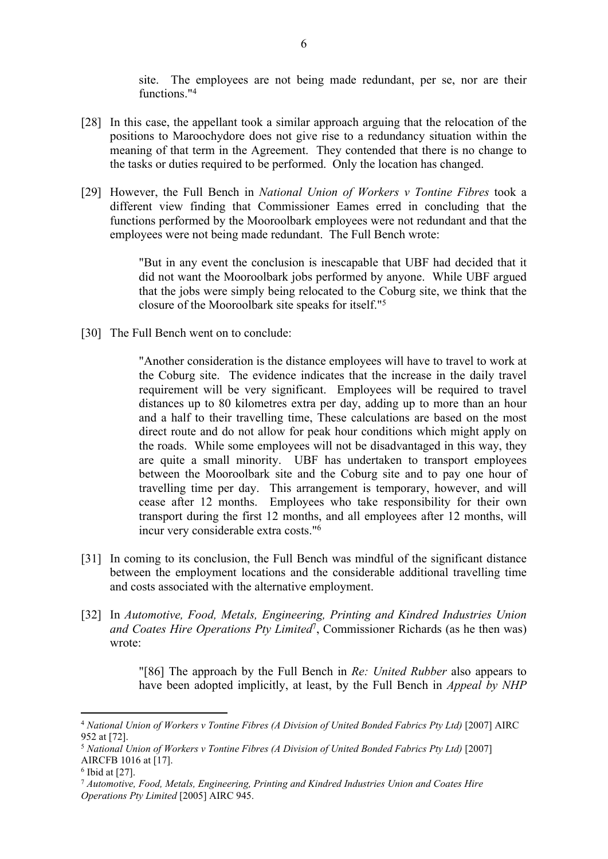site. The employees are not being made redundant, per se, nor are their functions."<sup>4</sup>

- [28] In this case, the appellant took a similar approach arguing that the relocation of the positions to Maroochydore does not give rise to a redundancy situation within the meaning of that term in the Agreement. They contended that there is no change to the tasks or duties required to be performed. Only the location has changed.
- [29] However, the Full Bench in *National Union of Workers v Tontine Fibres* took a different view finding that Commissioner Eames erred in concluding that the functions performed by the Mooroolbark employees were not redundant and that the employees were not being made redundant. The Full Bench wrote:

"But in any event the conclusion is inescapable that UBF had decided that it did not want the Mooroolbark jobs performed by anyone. While UBF argued that the jobs were simply being relocated to the Coburg site, we think that the closure of the Mooroolbark site speaks for itself."<sup>5</sup>

[30] The Full Bench went on to conclude:

"Another consideration is the distance employees will have to travel to work at the Coburg site. The evidence indicates that the increase in the daily travel requirement will be very significant. Employees will be required to travel distances up to 80 kilometres extra per day, adding up to more than an hour and a half to their travelling time, These calculations are based on the most direct route and do not allow for peak hour conditions which might apply on the roads. While some employees will not be disadvantaged in this way, they are quite a small minority. UBF has undertaken to transport employees between the Mooroolbark site and the Coburg site and to pay one hour of travelling time per day. This arrangement is temporary, however, and will cease after 12 months. Employees who take responsibility for their own transport during the first 12 months, and all employees after 12 months, will incur very considerable extra costs."<sup>6</sup>

- [31] In coming to its conclusion, the Full Bench was mindful of the significant distance between the employment locations and the considerable additional travelling time and costs associated with the alternative employment.
- [32] In *Automotive, Food, Metals, Engineering, Printing and Kindred Industries Union and Coates Hire Operations Pty Limited*<sup>7</sup> , Commissioner Richards (as he then was) wrote:

"[86] The approach by the Full Bench in *Re: United Rubber* also appears to have been adopted implicitly, at least, by the Full Bench in *Appeal by NHP* 

<sup>4</sup> *National Union of Workers v Tontine Fibres (A Division of United Bonded Fabrics Pty Ltd)* [2007] AIRC 952 at [72].

<sup>5</sup> *National Union of Workers v Tontine Fibres (A Division of United Bonded Fabrics Pty Ltd)* [2007] AIRCFB 1016 at [17].

<sup>6</sup> Ibid at [27].

<sup>7</sup> *Automotive, Food, Metals, Engineering, Printing and Kindred Industries Union and Coates Hire Operations Pty Limited* [2005] AIRC 945.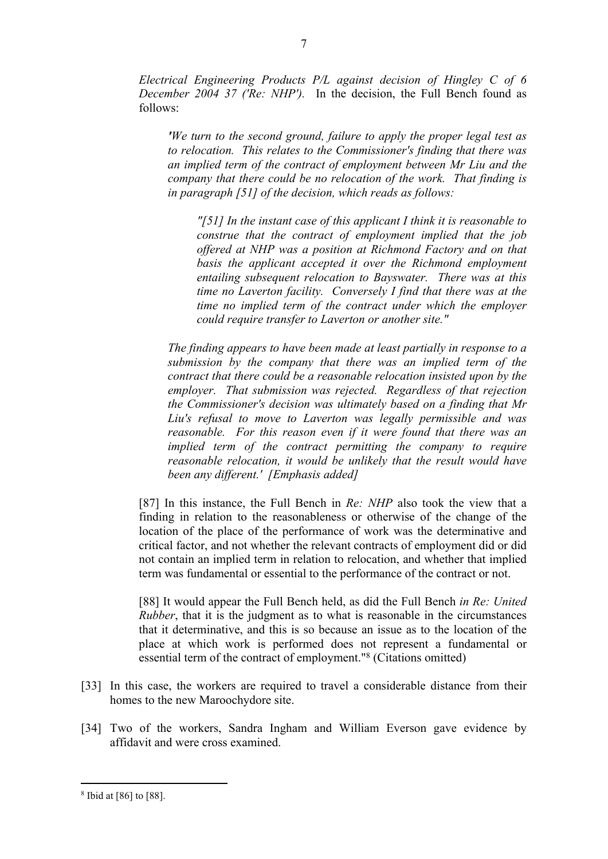*Electrical Engineering Products P/L against decision of Hingley C of 6 December 2004 37 ('Re: NHP').* In the decision, the Full Bench found as follows:

*'We turn to the second ground, failure to apply the proper legal test as to relocation. This relates to the Commissioner's finding that there was an implied term of the contract of employment between Mr Liu and the company that there could be no relocation of the work. That finding is in paragraph [51] of the decision, which reads as follows:*

*"[51] In the instant case of this applicant I think it is reasonable to construe that the contract of employment implied that the job offered at NHP was a position at Richmond Factory and on that basis the applicant accepted it over the Richmond employment entailing subsequent relocation to Bayswater. There was at this time no Laverton facility. Conversely I find that there was at the time no implied term of the contract under which the employer could require transfer to Laverton or another site."*

*The finding appears to have been made at least partially in response to a submission by the company that there was an implied term of the contract that there could be a reasonable relocation insisted upon by the employer. That submission was rejected. Regardless of that rejection the Commissioner's decision was ultimately based on a finding that Mr Liu's refusal to move to Laverton was legally permissible and was reasonable. For this reason even if it were found that there was an implied term of the contract permitting the company to require reasonable relocation, it would be unlikely that the result would have been any different.' [Emphasis added]*

[87] In this instance, the Full Bench in *Re: NHP* also took the view that a finding in relation to the reasonableness or otherwise of the change of the location of the place of the performance of work was the determinative and critical factor, and not whether the relevant contracts of employment did or did not contain an implied term in relation to relocation, and whether that implied term was fundamental or essential to the performance of the contract or not.

[88] It would appear the Full Bench held, as did the Full Bench *in Re: United Rubber*, that it is the judgment as to what is reasonable in the circumstances that it determinative, and this is so because an issue as to the location of the place at which work is performed does not represent a fundamental or essential term of the contract of employment."<sup>8</sup> (Citations omitted)

- [33] In this case, the workers are required to travel a considerable distance from their homes to the new Maroochydore site.
- [34] Two of the workers, Sandra Ingham and William Everson gave evidence by affidavit and were cross examined.

<sup>8</sup> Ibid at [86] to [88].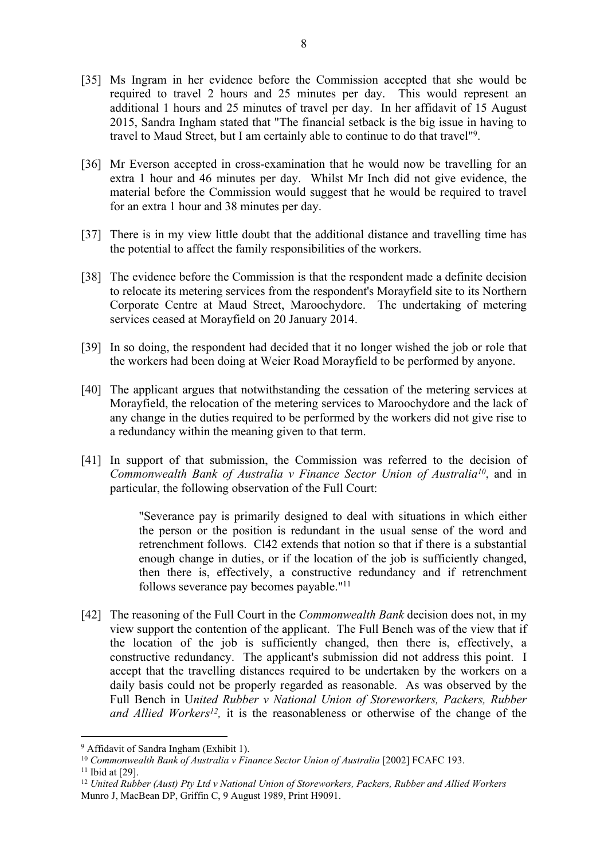- [35] Ms Ingram in her evidence before the Commission accepted that she would be required to travel 2 hours and 25 minutes per day. This would represent an additional 1 hours and 25 minutes of travel per day. In her affidavit of 15 August 2015, Sandra Ingham stated that "The financial setback is the big issue in having to travel to Maud Street, but I am certainly able to continue to do that travel"<sup>9</sup> .
- [36] Mr Everson accepted in cross-examination that he would now be travelling for an extra 1 hour and 46 minutes per day. Whilst Mr Inch did not give evidence, the material before the Commission would suggest that he would be required to travel for an extra 1 hour and 38 minutes per day.
- [37] There is in my view little doubt that the additional distance and travelling time has the potential to affect the family responsibilities of the workers.
- [38] The evidence before the Commission is that the respondent made a definite decision to relocate its metering services from the respondent's Morayfield site to its Northern Corporate Centre at Maud Street, Maroochydore. The undertaking of metering services ceased at Morayfield on 20 January 2014.
- [39] In so doing, the respondent had decided that it no longer wished the job or role that the workers had been doing at Weier Road Morayfield to be performed by anyone.
- [40] The applicant argues that notwithstanding the cessation of the metering services at Morayfield, the relocation of the metering services to Maroochydore and the lack of any change in the duties required to be performed by the workers did not give rise to a redundancy within the meaning given to that term.
- [41] In support of that submission, the Commission was referred to the decision of *Commonwealth Bank of Australia v Finance Sector Union of Australia<sup>10</sup>*, and in particular, the following observation of the Full Court:

"Severance pay is primarily designed to deal with situations in which either the person or the position is redundant in the usual sense of the word and retrenchment follows. Cl42 extends that notion so that if there is a substantial enough change in duties, or if the location of the job is sufficiently changed, then there is, effectively, a constructive redundancy and if retrenchment follows severance pay becomes payable."<sup>11</sup>

[42] The reasoning of the Full Court in the *Commonwealth Bank* decision does not, in my view support the contention of the applicant. The Full Bench was of the view that if the location of the job is sufficiently changed, then there is, effectively, a constructive redundancy. The applicant's submission did not address this point. I accept that the travelling distances required to be undertaken by the workers on a daily basis could not be properly regarded as reasonable. As was observed by the Full Bench in U*nited Rubber v National Union of Storeworkers, Packers, Rubber and Allied Workers<sup>12</sup>*, it is the reasonableness or otherwise of the change of the

<sup>9</sup> Affidavit of Sandra Ingham (Exhibit 1).

<sup>10</sup> *Commonwealth Bank of Australia v Finance Sector Union of Australia* [2002] FCAFC 193.

<sup>11</sup> Ibid at [29].

<sup>12</sup> *United Rubber (Aust) Pty Ltd v National Union of Storeworkers, Packers, Rubber and Allied Workers*  Munro J, MacBean DP, Griffin C, 9 August 1989, Print H9091.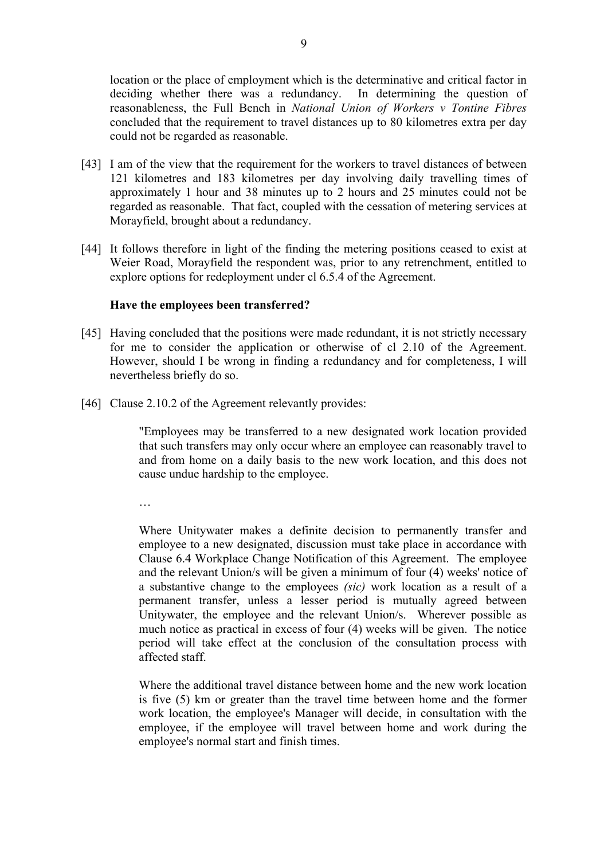location or the place of employment which is the determinative and critical factor in deciding whether there was a redundancy. In determining the question of reasonableness, the Full Bench in *National Union of Workers v Tontine Fibres* concluded that the requirement to travel distances up to 80 kilometres extra per day could not be regarded as reasonable.

- [43] I am of the view that the requirement for the workers to travel distances of between 121 kilometres and 183 kilometres per day involving daily travelling times of approximately 1 hour and 38 minutes up to 2 hours and 25 minutes could not be regarded as reasonable. That fact, coupled with the cessation of metering services at Morayfield, brought about a redundancy.
- [44] It follows therefore in light of the finding the metering positions ceased to exist at Weier Road, Morayfield the respondent was, prior to any retrenchment, entitled to explore options for redeployment under cl 6.5.4 of the Agreement.

#### **Have the employees been transferred?**

- [45] Having concluded that the positions were made redundant, it is not strictly necessary for me to consider the application or otherwise of cl 2.10 of the Agreement. However, should I be wrong in finding a redundancy and for completeness, I will nevertheless briefly do so.
- [46] Clause 2.10.2 of the Agreement relevantly provides:

"Employees may be transferred to a new designated work location provided that such transfers may only occur where an employee can reasonably travel to and from home on a daily basis to the new work location, and this does not cause undue hardship to the employee.

…

Where Unitywater makes a definite decision to permanently transfer and employee to a new designated, discussion must take place in accordance with Clause 6.4 Workplace Change Notification of this Agreement. The employee and the relevant Union/s will be given a minimum of four (4) weeks' notice of a substantive change to the employees *(sic)* work location as a result of a permanent transfer, unless a lesser period is mutually agreed between Unitywater, the employee and the relevant Union/s. Wherever possible as much notice as practical in excess of four (4) weeks will be given. The notice period will take effect at the conclusion of the consultation process with affected staff.

Where the additional travel distance between home and the new work location is five (5) km or greater than the travel time between home and the former work location, the employee's Manager will decide, in consultation with the employee, if the employee will travel between home and work during the employee's normal start and finish times.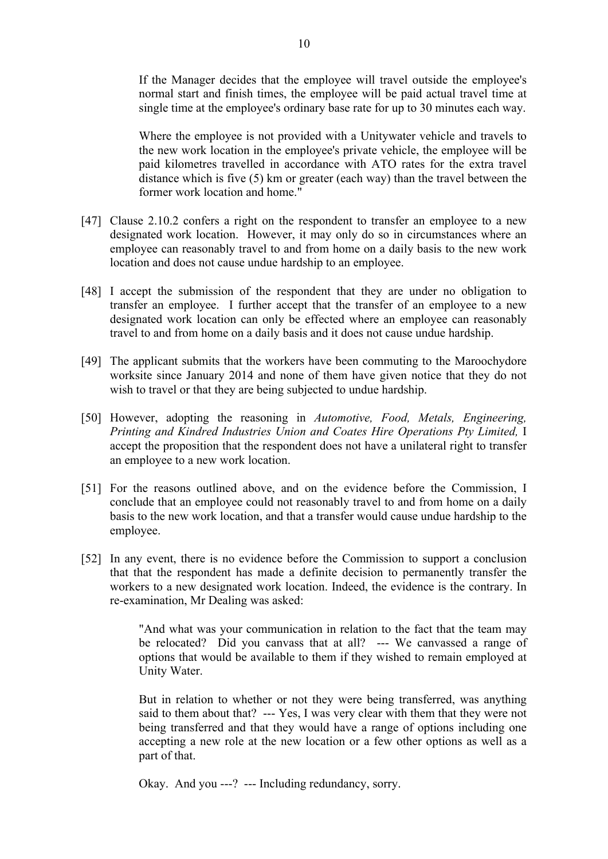If the Manager decides that the employee will travel outside the employee's normal start and finish times, the employee will be paid actual travel time at single time at the employee's ordinary base rate for up to 30 minutes each way.

Where the employee is not provided with a Unitywater vehicle and travels to the new work location in the employee's private vehicle, the employee will be paid kilometres travelled in accordance with ATO rates for the extra travel distance which is five (5) km or greater (each way) than the travel between the former work location and home."

- [47] Clause 2.10.2 confers a right on the respondent to transfer an employee to a new designated work location. However, it may only do so in circumstances where an employee can reasonably travel to and from home on a daily basis to the new work location and does not cause undue hardship to an employee.
- [48] I accept the submission of the respondent that they are under no obligation to transfer an employee. I further accept that the transfer of an employee to a new designated work location can only be effected where an employee can reasonably travel to and from home on a daily basis and it does not cause undue hardship.
- [49] The applicant submits that the workers have been commuting to the Maroochydore worksite since January 2014 and none of them have given notice that they do not wish to travel or that they are being subjected to undue hardship.
- [50] However, adopting the reasoning in *Automotive, Food, Metals, Engineering, Printing and Kindred Industries Union and Coates Hire Operations Pty Limited,* I accept the proposition that the respondent does not have a unilateral right to transfer an employee to a new work location.
- [51] For the reasons outlined above, and on the evidence before the Commission, I conclude that an employee could not reasonably travel to and from home on a daily basis to the new work location, and that a transfer would cause undue hardship to the employee.
- [52] In any event, there is no evidence before the Commission to support a conclusion that that the respondent has made a definite decision to permanently transfer the workers to a new designated work location. Indeed, the evidence is the contrary. In re-examination, Mr Dealing was asked:

"And what was your communication in relation to the fact that the team may be relocated? Did you canvass that at all? --- We canvassed a range of options that would be available to them if they wished to remain employed at Unity Water.

But in relation to whether or not they were being transferred, was anything said to them about that? --- Yes, I was very clear with them that they were not being transferred and that they would have a range of options including one accepting a new role at the new location or a few other options as well as a part of that.

Okay. And you ---? --- Including redundancy, sorry.